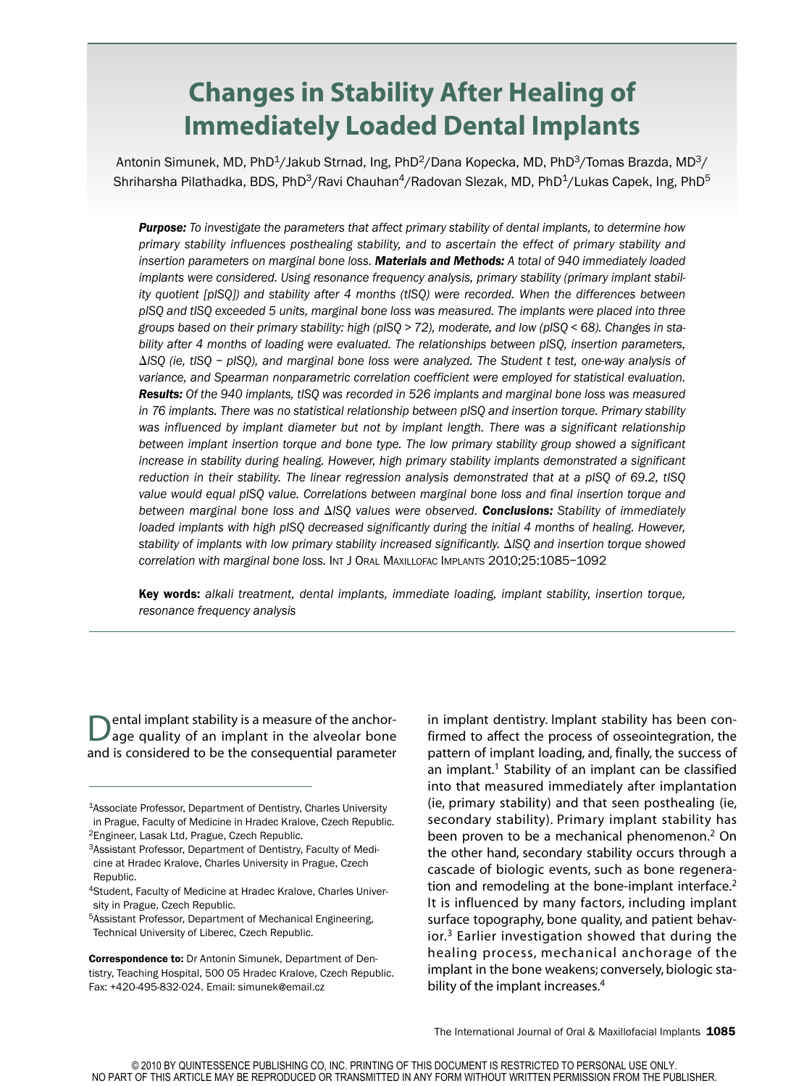# **Changes in Stability After Healing of Immediately Loaded Dental Implants**

Antonin Simunek, MD, PhD<sup>1</sup>/Jakub Strnad, Ing, PhD<sup>2</sup>/Dana Kopecka, MD, PhD<sup>3</sup>/Tomas Brazda, MD<sup>3</sup>/ Shriharsha Pilathadka, BDS, PhD<sup>3</sup>/Ravi Chauhan<sup>4</sup>/Radovan Slezak, MD, PhD<sup>1</sup>/Lukas Capek, Ing, PhD<sup>5</sup>

*Purpose: To investigate the parameters that affect primary stability of dental implants, to determine how primary stability influences posthealing stability, and to ascertain the effect of primary stability and insertion parameters on marginal bone loss. Materials and Methods: A total of 940 immediately loaded implants were considered. Using resonance frequency analysis, primary stability (primary implant stability quotient [pISQ]) and stability after 4 months (tISQ) were recorded. When the differences between pISQ and tISQ exceeded 5 units, marginal bone loss was measured. The implants were placed into three* groups based on their primary stability: high (pISQ > 72), moderate, and low (pISQ < 68). Changes in sta*bility after 4 months of loading were evaluated. The relationships between pISQ, insertion parameters,*  $\Delta$ ISQ (ie, tISQ - pISQ), and marginal bone loss were analyzed. The Student t test, one-way analysis of *variance, and Spearman nonparametric correlation coefficient were employed for statistical evaluation. Results: Of the 940 implants, tISQ was recorded in 526 implants and marginal bone loss was measured in 76 implants. There was no statistical relationship between pISQ and insertion torque. Primary stability was influenced by implant diameter but not by implant length. There was a significant relationship between implant insertion torque and bone type. The low primary stability group showed a significant increase in stability during healing. However, high primary stability implants demonstrated a significant reduction in their stability. The linear regression analysis demonstrated that at a pISQ of 69.2, tISQ value would equal pISQ value. Correlations between marginal bone loss and final insertion torque and between marginal bone loss and ISQ values were observed. Conclusions: Stability of immediately loaded implants with high pISQ decreased significantly during the initial 4 months of healing. However, stability of implants with low primary stability increased significantly. ISQ and insertion torque showed correlation with marginal bone loss.* INT J ORAL MAXILLOFAC IMPLANTS 2010;25:1085–1092

**Key words:** *alkali treatment, dental implants, immediate loading, implant stability, insertion torque, resonance frequency analysis*

**D**ental implant stability is a measure of the anchor-<br>age quality of an implant in the alveolar bone and is considered to be the consequential parameter in implant dentistry. Implant stability has been confirmed to affect the process of osseointegration, the pattern of implant loading, and, finally, the success of an implant. <sup>1</sup> Stability of an implant can be classified into that measured immediately after implantation (ie, primary stability) and that seen posthealing (ie, secondary stability). Primary implant stability has been proven to be a mechanical phenomenon. <sup>2</sup> On the other hand, secondary stability occurs through a cascade of biologic events, such as bone regeneration and remodeling at the bone-implant interface.<sup>2</sup> It is influenced by many factors, including implant surface topography, bone quality, and patient behavior. <sup>3</sup> Earlier investigation showed that during the healing process, mechanical anchorage of the implant in the bone weakens; conversely, biologic stability of the implant increases. 4

<sup>1</sup>Associate Professor, Department of Dentistry, Charles University in Prague, Faculty of Medicine in Hradec Kralove, Czech Republic. <sup>2</sup>Engineer, Lasak Ltd, Prague, Czech Republic.

<sup>&</sup>lt;sup>3</sup>Assistant Professor, Department of Dentistry, Faculty of Medicine at Hradec Kralove, Charles University in Prague, Czech Republic.

<sup>&</sup>lt;sup>4</sup>Student, Faculty of Medicine at Hradec Kralove, Charles University in Prague, Czech Republic.

<sup>&</sup>lt;sup>5</sup>Assistant Professor, Department of Mechanical Engineering, Technical University of Liberec, Czech Republic.

**Correspondence to:** Dr Antonin Simunek, Department of Dentistry, Teaching Hospital, 500 05 Hradec Kralove, Czech Republic. Fax: +420-495-832-024. Email: simunek@email.cz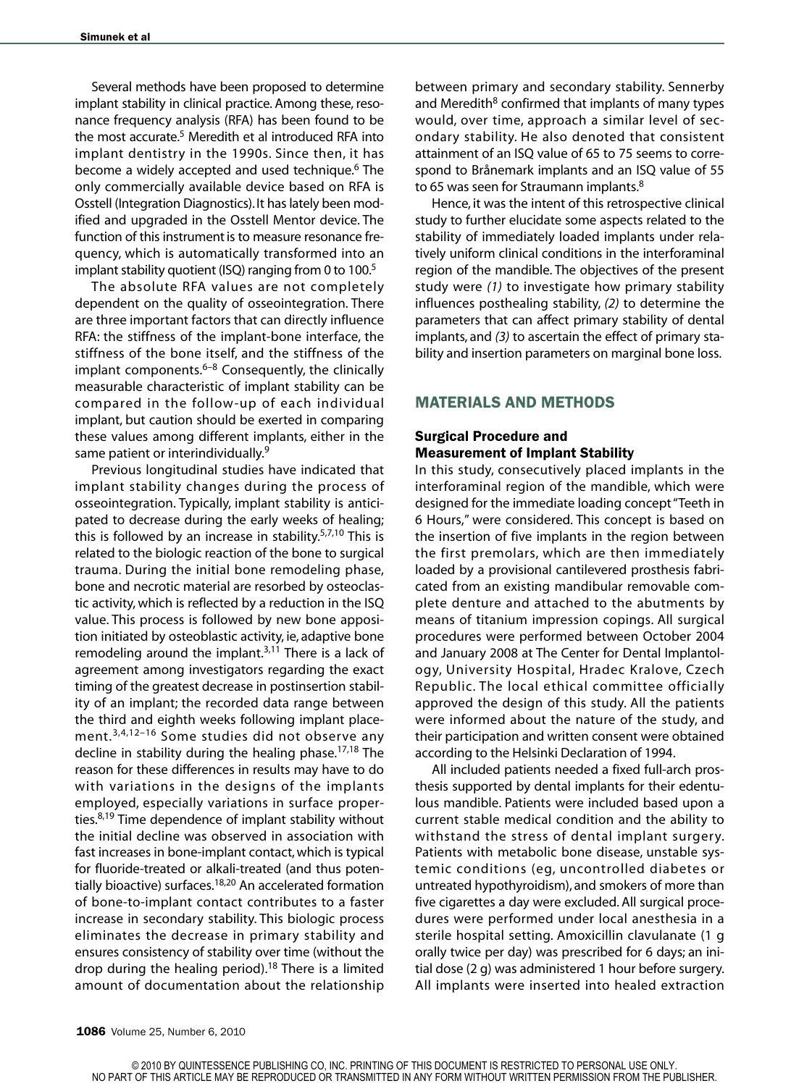Several methods have been proposed to determine implant stability in clinical practice. Among these, resonance frequency analysis (RFA) has been found to be the most accurate. <sup>5</sup> Meredith et al introduced RFA into implant dentistry in the 1990s. Since then, it has become a widely accepted and used technique. <sup>6</sup> The only commercially available device based on RFA is Osstell (Integration Diagnostics). It has lately been modified and upgraded in the Osstell Mentor device. The function of this instrument is to measure resonance frequency, which is automatically transformed into an implant stability quotient (ISQ) ranging from 0 to 100.<sup>5</sup>

The absolute RFA values are not completely dependent on the quality of osseointegration. There are three important factors that can directly influence RFA: the stiffness of the implant-bone interface, the stiffness of the bone itself, and the stiffness of the implant components. 6–8 Consequently, the clinically measurable characteristic of implant stability can be compared in the follow-up of each individual implant, but caution should be exerted in comparing these values among different implants, either in the same patient or interindividually.<sup>9</sup>

Previous longitudinal studies have indicated that implant stability changes during the process of osseointegration. Typically, implant stability is anticipated to decrease during the early weeks of healing; this is followed by an increase in stability.<sup>5,7,10</sup> This is related to the biologic reaction of the bone to surgical trauma. During the initial bone remodeling phase, bone and necrotic material are resorbed by osteoclastic activity, which is reflected by a reduction in the ISQ value. This process is followed by new bone apposition initiated by osteoblastic activity, ie, adaptive bone remodeling around the implant.<sup>3,11</sup> There is a lack of agreement among investigators regarding the exact timing of the greatest decrease in postinsertion stability of an implant; the recorded data range between the third and eighth weeks following implant placement. 3,4,12–16 Some studies did not observe any decline in stability during the healing phase. 17,18 The reason for these differences in results may have to do with variations in the designs of the implants employed, especially variations in surface properties. 8,19 Time dependence of implant stability without the initial decline was observed in association with fast increases in bone-implant contact,which is typical for fluoride-treated or alkali-treated (and thus potentially bioactive) surfaces. 18,20 An accelerated formation of bone-to-implant contact contributes to a faster increase in secondary stability. This biologic process eliminates the decrease in primary stability and ensures consistency of stability over time (without the drop during the healing period). <sup>18</sup> There is a limited amount of documentation about the relationship

between primary and secondary stability. Sennerby and Meredith $8$  confirmed that implants of many types would, over time, approach a similar level of secondary stability. He also denoted that consistent attainment of an ISQ value of 65 to 75 seems to correspond to Brånemark implants and an ISQ value of 55 to 65 was seen for Straumann implants.<sup>8</sup>

Hence, it was the intent of this retrospective clinical study to further elucidate some aspects related to the stability of immediately loaded implants under relatively uniform clinical conditions in the interforaminal region of the mandible. The objectives of the present study were *(1)* to investigate how primary stability influences posthealing stability, *(2)* to determine the parameters that can affect primary stability of dental implants, and *(3)* to ascertain the effect of primary stability and insertion parameters on marginal bone loss.

#### **MATERIALS AND METHODS**

#### **Surgical Procedure and Measurement of Implant Stability**

In this study, consecutively placed implants in the interforaminal region of the mandible, which were designed for the immediate loading concept"Teeth in 6 Hours," were considered. This concept is based on the insertion of five implants in the region between the first premolars, which are then immediately loaded by a provisional cantilevered prosthesis fabricated from an existing mandibular removable complete denture and attached to the abutments by means of titanium impression copings. All surgical procedures were performed between October 2004 and January 2008 at The Center for Dental Implantology, University Hospital, Hradec Kralove, Czech Republic. The local ethical committee officially approved the design of this study. All the patients were informed about the nature of the study, and their participation and written consent were obtained according to the Helsinki Declaration of 1994.

All included patients needed a fixed full-arch prosthesis supported by dental implants for their edentulous mandible. Patients were included based upon a current stable medical condition and the ability to withstand the stress of dental implant surgery. Patients with metabolic bone disease, unstable systemic conditions (eg, uncontrolled diabetes or untreated hypothyroidism), and smokers of more than five cigarettes a day were excluded. All surgical procedures were performed under local anesthesia in a sterile hospital setting. Amoxicillin clavulanate (1 g orally twice per day) was prescribed for 6 days; an initial dose (2 g) was administered 1 hour before surgery. All implants were inserted into healed extraction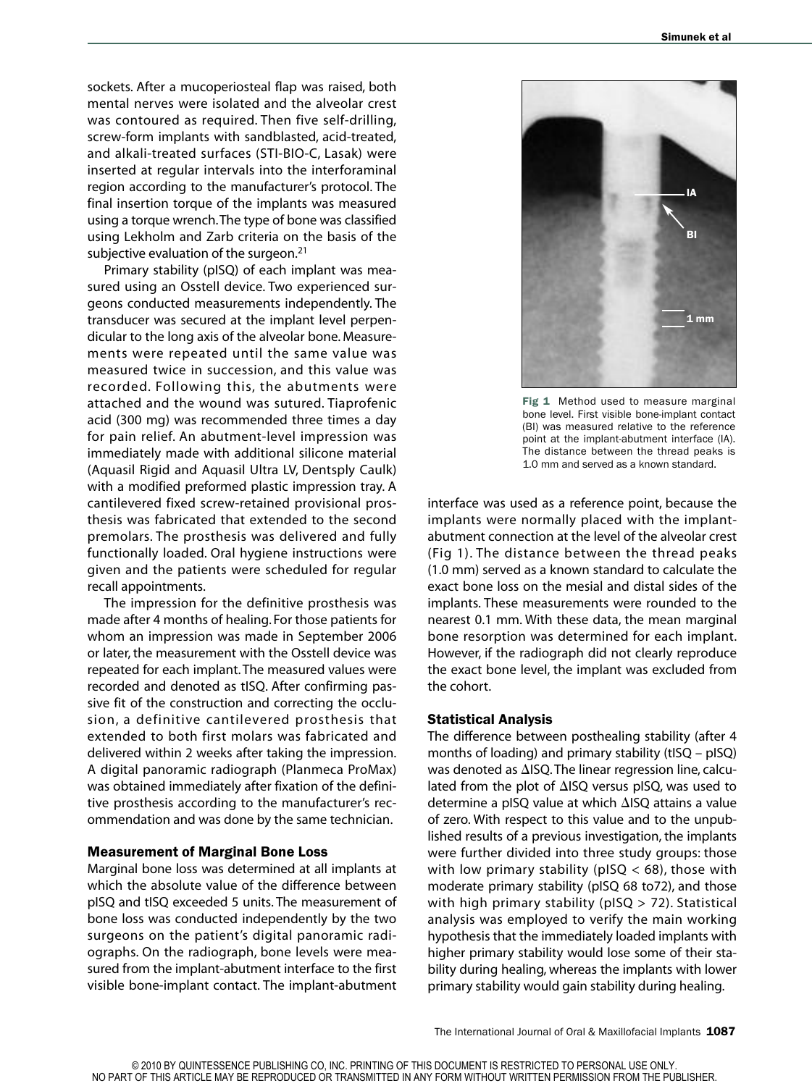sockets. After a mucoperiosteal flap was raised, both mental nerves were isolated and the alveolar crest was contoured as required. Then five self-drilling, screw-form implants with sandblasted, acid-treated, and alkali-treated surfaces (STI-BIO-C, Lasak) were inserted at regular intervals into the interforaminal region according to the manufacturer's protocol. The final insertion torque of the implants was measured using a torque wrench.The type of bone was classified using Lekholm and Zarb criteria on the basis of the subjective evaluation of the surgeon.<sup>21</sup>

Primary stability (pISQ) of each implant was measured using an Osstell device. Two experienced surgeons conducted measurements independently. The transducer was secured at the implant level perpendicular to the long axis of the alveolar bone. Measurements were repeated until the same value was measured twice in succession, and this value was recorded. Following this, the abutments were attached and the wound was sutured. Tiaprofenic acid (300 mg) was recommended three times a day for pain relief. An abutment-level impression was immediately made with additional silicone material (Aquasil Rigid and Aquasil Ultra LV, Dentsply Caulk) with a modified preformed plastic impression tray. A cantilevered fixed screw-retained provisional prosthesis was fabricated that extended to the second premolars. The prosthesis was delivered and fully functionally loaded. Oral hygiene instructions were given and the patients were scheduled for regular recall appointments.

The impression for the definitive prosthesis was made after 4 months of healing. For those patients for whom an impression was made in September 2006 or later, the measurement with the Osstell device was repeated for each implant.The measured values were recorded and denoted as tISQ. After confirming passive fit of the construction and correcting the occlusion, a definitive cantilevered prosthesis that extended to both first molars was fabricated and delivered within 2 weeks after taking the impression. A digital panoramic radiograph (Planmeca ProMax) was obtained immediately after fixation of the definitive prosthesis according to the manufacturer's recommendation and was done by the same technician.

#### **Measurement of Marginal Bone Loss**

Marginal bone loss was determined at all implants at which the absolute value of the difference between pISQ and tISQ exceeded 5 units. The measurement of bone loss was conducted independently by the two surgeons on the patient's digital panoramic radiographs. On the radiograph, bone levels were measured from the implant-abutment interface to the first visible bone-implant contact. The implant-abutment



**Fig 1** Method used to measure marginal bone level. First visible bone-implant contact (BI) was measured relative to the reference point at the implant-abutment interface (IA). The distance between the thread peaks is 1.0 mm and served as a known standard.

interface was used as a reference point, because the implants were normally placed with the implantabutment connection at the level of the alveolar crest (Fig 1). The distance between the thread peaks (1.0 mm) served as a known standard to calculate the exact bone loss on the mesial and distal sides of the implants. These measurements were rounded to the nearest 0.1 mm. With these data, the mean marginal bone resorption was determined for each implant. However, if the radiograph did not clearly reproduce the exact bone level, the implant was excluded from the cohort.

### **Statistical Analysis**

The difference between posthealing stability (after 4 months of loading) and primary stability (tISQ – pISQ) was denoted as  $\Delta$ ISQ. The linear regression line, calculated from the plot of  $\Delta$ ISQ versus pISQ, was used to determine a pISQ value at which  $\Delta$ ISQ attains a value of zero. With respect to this value and to the unpublished results of a previous investigation, the implants were further divided into three study groups: those with low primary stability (pISQ < 68), those with moderate primary stability (pISQ 68 to72), and those with high primary stability (pISQ > 72). Statistical analysis was employed to verify the main working hypothesis that the immediately loaded implants with higher primary stability would lose some of their stability during healing, whereas the implants with lower primary stability would gain stability during healing.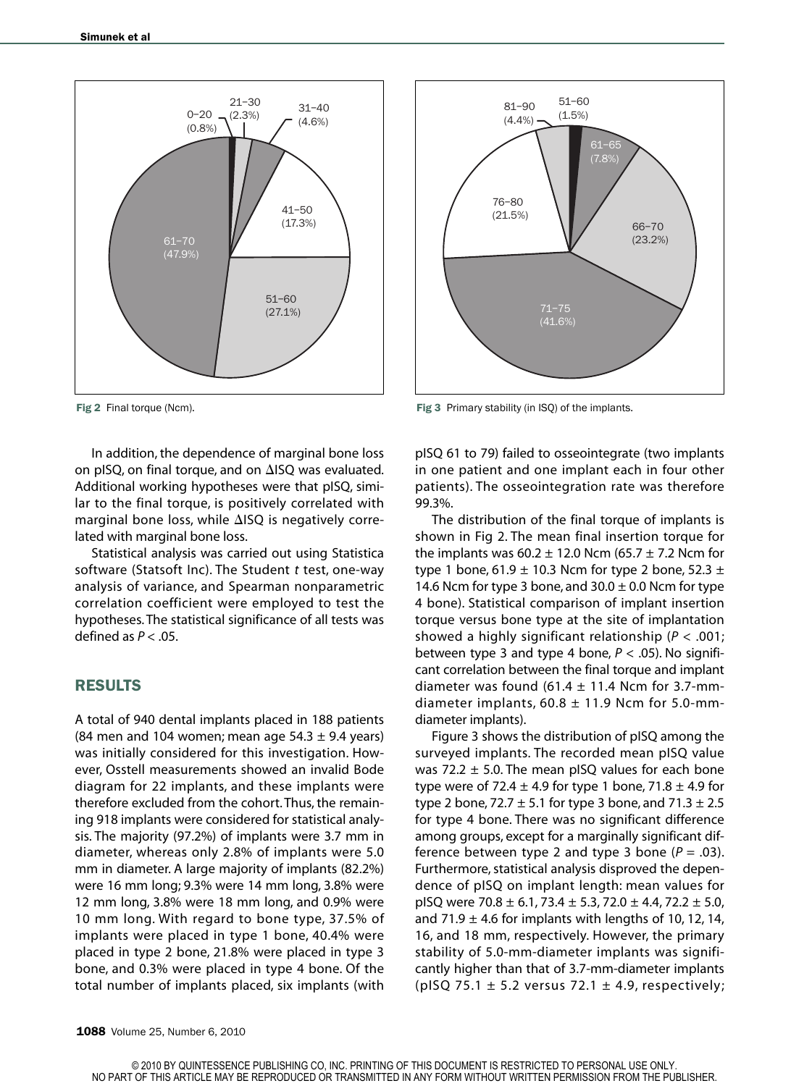

In addition, the dependence of marginal bone loss on pISQ, on final torque, and on  $\Delta$ ISQ was evaluated. Additional working hypotheses were that pISQ, similar to the final torque, is positively correlated with marginal bone loss, while  $\Delta$ ISQ is negatively correlated with marginal bone loss.

Statistical analysis was carried out using Statistica software (Statsoft Inc). The Student *t* test, one-way analysis of variance, and Spearman nonparametric correlation coefficient were employed to test the hypotheses.The statistical significance of all tests was defined as *P* < .05.

### **RESULTS**

A total of 940 dental implants placed in 188 patients (84 men and 104 women; mean age  $54.3 \pm 9.4$  years) was initially considered for this investigation. However, Osstell measurements showed an invalid Bode diagram for 22 implants, and these implants were therefore excluded from the cohort.Thus,the remaining 918 implants were considered for statistical analysis. The majority (97.2%) of implants were 3.7 mm in diameter, whereas only 2.8% of implants were 5.0 mm in diameter. A large majority of implants (82.2%) were 16 mm long; 9.3% were 14 mm long, 3.8% were 12 mm long, 3.8% were 18 mm long, and 0.9% were 10 mm long. With regard to bone type, 37.5% of implants were placed in type 1 bone, 40.4% were placed in type 2 bone, 21.8% were placed in type 3 bone, and 0.3% were placed in type 4 bone. Of the total number of implants placed, six implants (with



**Fig 2** Final torque (Ncm). **Fig 3** Primary stability (in ISQ) of the implants.

pISQ 61 to 79) failed to osseointegrate (two implants in one patient and one implant each in four other patients). The osseointegration rate was therefore 99.3%.

The distribution of the final torque of implants is shown in Fig 2. The mean final insertion torque for the implants was  $60.2 \pm 12.0$  Ncm  $(65.7 \pm 7.2$  Ncm for type 1 bone, 61.9  $\pm$  10.3 Ncm for type 2 bone, 52.3  $\pm$ 14.6 Ncm for type 3 bone, and  $30.0 \pm 0.0$  Ncm for type 4 bone). Statistical comparison of implant insertion torque versus bone type at the site of implantation showed a highly significant relationship (*P* < .001; between type 3 and type 4 bone, *P* < .05). No significant correlation between the final torque and implant diameter was found (61.4  $\pm$  11.4 Ncm for 3.7-mmdiameter implants,  $60.8 \pm 11.9$  Ncm for 5.0-mmdiameter implants).

Figure 3 shows the distribution of pISQ among the surveyed implants. The recorded mean pISQ value was 72.2  $\pm$  5.0. The mean pISQ values for each bone type were of 72.4  $\pm$  4.9 for type 1 bone, 71.8  $\pm$  4.9 for type 2 bone,  $72.7 \pm 5.1$  for type 3 bone, and  $71.3 \pm 2.5$ for type 4 bone. There was no significant difference among groups, except for a marginally significant difference between type 2 and type 3 bone  $(P = .03)$ . Furthermore, statistical analysis disproved the dependence of pISQ on implant length: mean values for pISQ were  $70.8 \pm 6.1$ ,  $73.4 \pm 5.3$ ,  $72.0 \pm 4.4$ ,  $72.2 \pm 5.0$ , and 71.9  $\pm$  4.6 for implants with lengths of 10, 12, 14, 16, and 18 mm, respectively. However, the primary stability of 5.0-mm-diameter implants was significantly higher than that of 3.7-mm-diameter implants (pISQ 75.1  $\pm$  5.2 versus 72.1  $\pm$  4.9, respectively;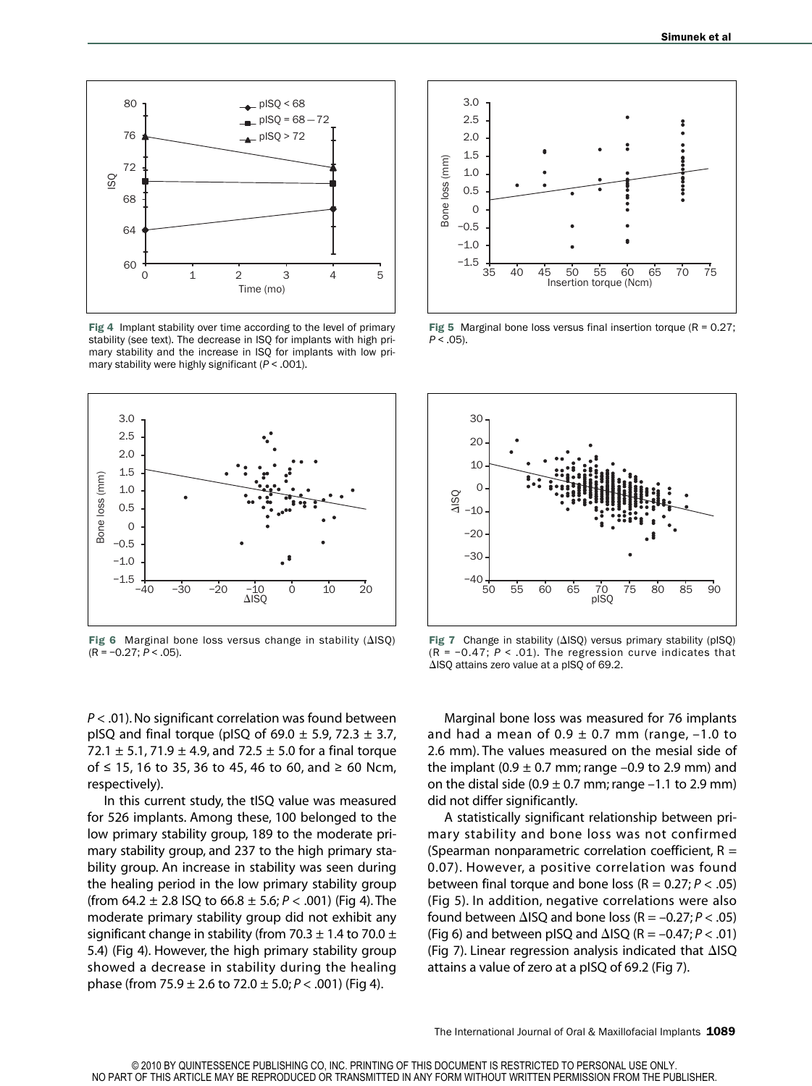

**Fig 4** Implant stability over time according to the level of primary stability (see text). The decrease in ISQ for implants with high primary stability and the increase in ISQ for implants with low primary stability were highly significant (*P* < .001).



Fig 6 Marginal bone loss versus change in stability ( $\Delta$ ISQ) (R = –0.27; *P* < .05).

*P* < .01).No significant correlation was found between pISQ and final torque (pISQ of 69.0  $\pm$  5.9, 72.3  $\pm$  3.7, 72.1  $\pm$  5.1, 71.9  $\pm$  4.9, and 72.5  $\pm$  5.0 for a final torque of ≤ 15, 16 to 35, 36 to 45, 46 to 60, and ≥ 60 Ncm, respectively).

In this current study, the tISQ value was measured for 526 implants. Among these, 100 belonged to the low primary stability group, 189 to the moderate primary stability group, and 237 to the high primary stability group. An increase in stability was seen during the healing period in the low primary stability group (from 64.2 ± 2.8 ISQ to 66.8 ± 5.6; *P* < .001) (Fig 4). The moderate primary stability group did not exhibit any significant change in stability (from 70.3  $\pm$  1.4 to 70.0  $\pm$ 5.4) (Fig 4). However, the high primary stability group showed a decrease in stability during the healing phase (from 75.9 ± 2.6 to 72.0 ± 5.0; *P* < .001) (Fig 4).



**Fig 5** Marginal bone loss versus final insertion torque (R = 0.27; *P* < .05).



**Fig 7** Change in stability ( $\Delta$ ISQ) versus primary stability ( $p$ ISQ)  $(R = -0.47; P < .01)$ . The regression curve indicates that  $\Delta$ ISQ attains zero value at a pISQ of 69.2.

Marginal bone loss was measured for 76 implants and had a mean of 0.9  $\pm$  0.7 mm (range, -1.0 to 2.6 mm). The values measured on the mesial side of the implant  $(0.9 \pm 0.7 \text{ mm})$ ; range -0.9 to 2.9 mm) and on the distal side (0.9  $\pm$  0.7 mm; range -1.1 to 2.9 mm) did not differ significantly.

A statistically significant relationship between primary stability and bone loss was not confirmed (Spearman nonparametric correlation coefficient,  $R =$ 0.07). However, a positive correlation was found between final torque and bone loss  $(R = 0.27; P < .05)$ (Fig 5). In addition, negative correlations were also found between  $\Delta$ ISQ and bone loss (R =  $-0.27; P < .05$ ) (Fig 6) and between pISQ and  $\triangle$ ISQ (R = -0.47;  $P < .01$ ) (Fig 7). Linear regression analysis indicated that  $\Delta$ ISQ attains a value of zero at a pISQ of 69.2 (Fig 7).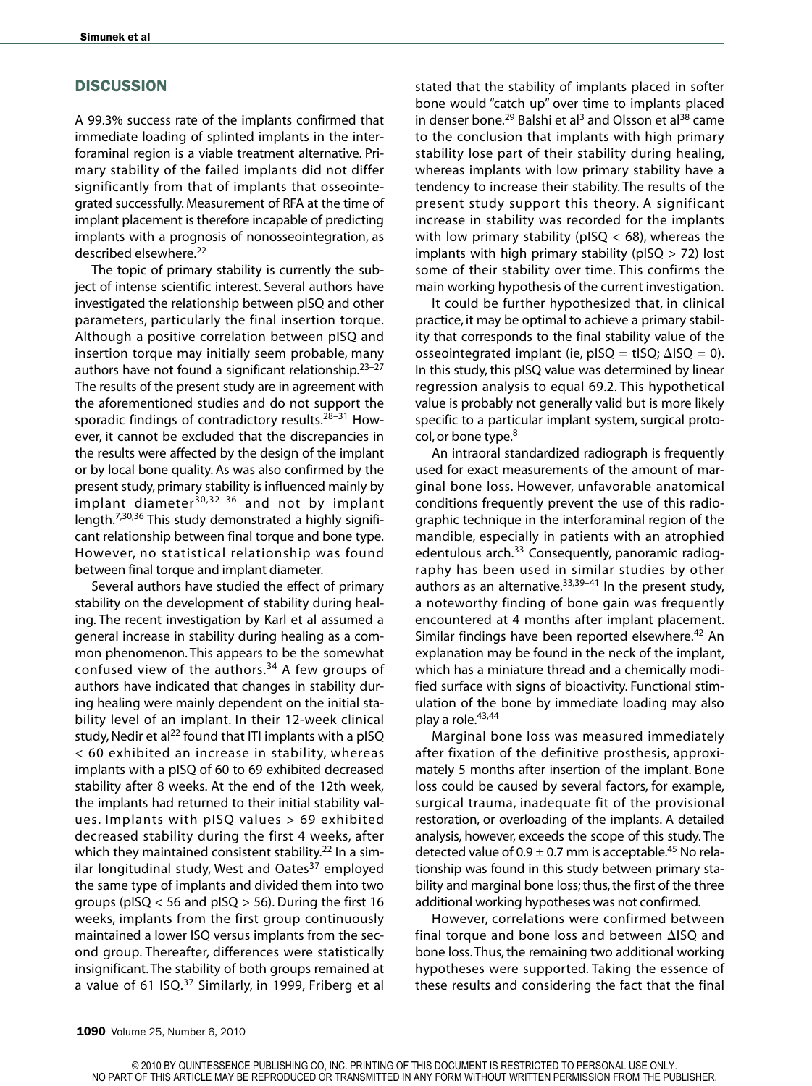#### **DISCUSSION**

A 99.3% success rate of the implants confirmed that immediate loading of splinted implants in the interforaminal region is a viable treatment alternative. Primary stability of the failed implants did not differ significantly from that of implants that osseointegrated successfully. Measurement of RFA at the time of implant placement is therefore incapable of predicting implants with a prognosis of nonosseointegration, as described elsewhere. 22

The topic of primary stability is currently the subject of intense scientific interest. Several authors have investigated the relationship between pISQ and other parameters, particularly the final insertion torque. Although a positive correlation between pISQ and insertion torque may initially seem probable, many authors have not found a significant relationship.<sup>23-27</sup> The results of the present study are in agreement with the aforementioned studies and do not support the sporadic findings of contradictory results. 28–31 However, it cannot be excluded that the discrepancies in the results were affected by the design of the implant or by local bone quality. As was also confirmed by the present study, primary stability is influenced mainly by implant diameter30,32–36 and not by implant length.<sup>7,30,36</sup> This study demonstrated a highly significant relationship between final torque and bone type. However, no statistical relationship was found between final torque and implant diameter.

Several authors have studied the effect of primary stability on the development of stability during healing. The recent investigation by Karl et al assumed a general increase in stability during healing as a common phenomenon. This appears to be the somewhat confused view of the authors. <sup>34</sup> A few groups of authors have indicated that changes in stability during healing were mainly dependent on the initial stability level of an implant. In their 12-week clinical study, Nedir et al<sup>22</sup> found that ITI implants with a pISQ < 60 exhibited an increase in stability, whereas implants with a pISQ of 60 to 69 exhibited decreased stability after 8 weeks. At the end of the 12th week, the implants had returned to their initial stability values. Implants with pISQ values > 69 exhibited decreased stability during the first 4 weeks, after which they maintained consistent stability.<sup>22</sup> In a similar longitudinal study, West and Oates<sup>37</sup> employed the same type of implants and divided them into two groups (pISQ < 56 and pISQ > 56). During the first 16 weeks, implants from the first group continuously maintained a lower ISQ versus implants from the second group. Thereafter, differences were statistically insignificant.The stability of both groups remained at a value of 61 ISQ.<sup>37</sup> Similarly, in 1999, Friberg et al

stated that the stability of implants placed in softer bone would "catch up" over time to implants placed in denser bone.<sup>29</sup> Balshi et al<sup>3</sup> and Olsson et al<sup>38</sup> came to the conclusion that implants with high primary stability lose part of their stability during healing, whereas implants with low primary stability have a tendency to increase their stability. The results of the present study support this theory. A significant increase in stability was recorded for the implants with low primary stability ( $pISQ < 68$ ), whereas the implants with high primary stability ( $pISQ > 72$ ) lost some of their stability over time. This confirms the main working hypothesis of the current investigation.

It could be further hypothesized that, in clinical practice, it may be optimal to achieve a primary stability that corresponds to the final stability value of the osseointegrated implant (ie, pISQ = tISQ;  $\Delta$ ISQ = 0). In this study, this pISQ value was determined by linear regression analysis to equal 69.2. This hypothetical value is probably not generally valid but is more likely specific to a particular implant system, surgical protocol, or bone type.<sup>8</sup>

An intraoral standardized radiograph is frequently used for exact measurements of the amount of marginal bone loss. However, unfavorable anatomical conditions frequently prevent the use of this radiographic technique in the interforaminal region of the mandible, especially in patients with an atrophied edentulous arch.<sup>33</sup> Consequently, panoramic radiography has been used in similar studies by other authors as an alternative.<sup>33,39-41</sup> In the present study, a noteworthy finding of bone gain was frequently encountered at 4 months after implant placement. Similar findings have been reported elsewhere. <sup>42</sup> An explanation may be found in the neck of the implant, which has a miniature thread and a chemically modified surface with signs of bioactivity. Functional stimulation of the bone by immediate loading may also play a role. 43,44

Marginal bone loss was measured immediately after fixation of the definitive prosthesis, approximately 5 months after insertion of the implant. Bone loss could be caused by several factors, for example, surgical trauma, inadequate fit of the provisional restoration, or overloading of the implants. A detailed analysis, however, exceeds the scope of this study. The detected value of  $0.9 \pm 0.7$  mm is acceptable.<sup>45</sup> No relationship was found in this study between primary stability and marginal bone loss;thus,the first of the three additional working hypotheses was not confirmed.

However, correlations were confirmed between final torque and bone loss and between  $\Delta$ ISQ and bone loss. Thus, the remaining two additional working hypotheses were supported. Taking the essence of these results and considering the fact that the final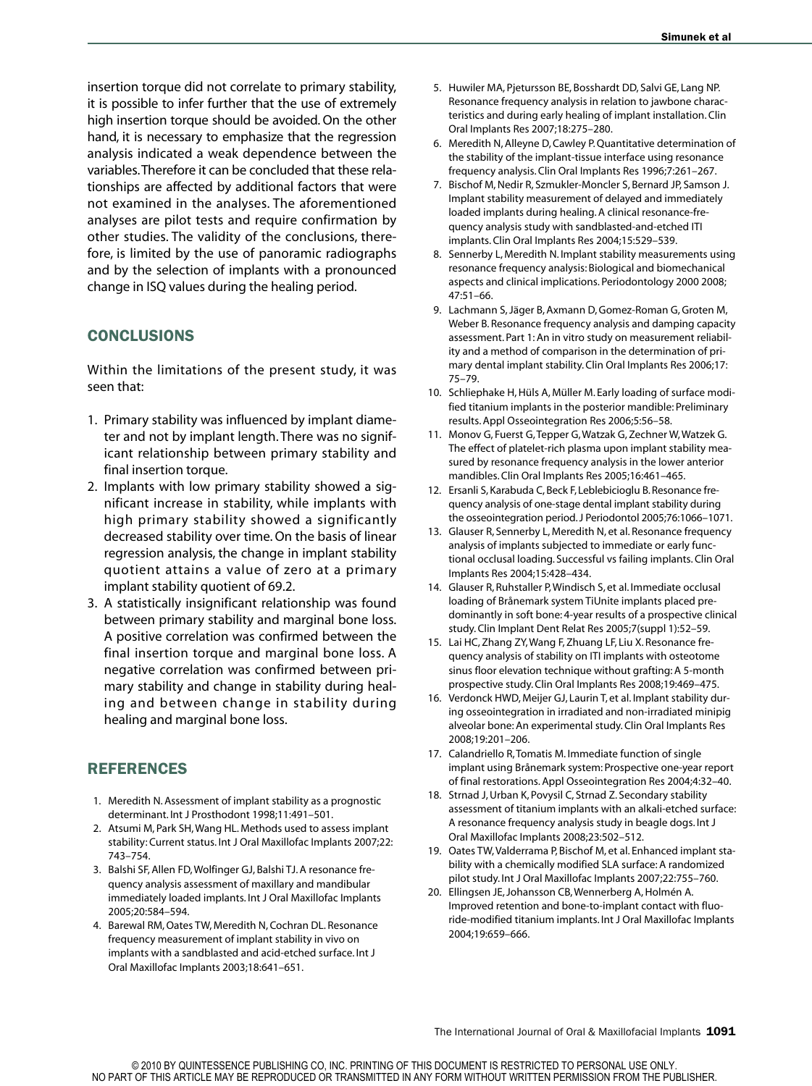insertion torque did not correlate to primary stability, it is possible to infer further that the use of extremely high insertion torque should be avoided.On the other hand, it is necessary to emphasize that the regression analysis indicated a weak dependence between the variables.Therefore it can be concluded that these relationships are affected by additional factors that were not examined in the analyses. The aforementioned analyses are pilot tests and require confirmation by other studies. The validity of the conclusions, therefore, is limited by the use of panoramic radiographs and by the selection of implants with a pronounced change in ISQ values during the healing period.

### **CONCLUSIONS**

Within the limitations of the present study, it was seen that:

- 1. Primary stability was influenced by implant diameter and not by implant length.There was no significant relationship between primary stability and final insertion torque.
- 2. Implants with low primary stability showed a significant increase in stability, while implants with high primary stability showed a significantly decreased stability over time.On the basis of linear regression analysis, the change in implant stability quotient attains a value of zero at a primary implant stability quotient of 69.2.
- 3. A statistically insignificant relationship was found between primary stability and marginal bone loss. A positive correlation was confirmed between the final insertion torque and marginal bone loss. A negative correlation was confirmed between primary stability and change in stability during healing and between change in stability during healing and marginal bone loss.

## **REFERENCES**

- 1. Meredith N.Assessment of implant stability as a prognostic determinant. Int J Prosthodont 1998;11:491–501.
- 2. Atsumi M, Park SH,Wang HL. Methods used to assess implant stability: Current status. Int J Oral Maxillofac Implants 2007;22: 743–754.
- 3. Balshi SF,Allen FD,Wolfinger GJ, Balshi TJ.A resonance frequency analysis assessment of maxillary and mandibular immediately loaded implants. Int J Oral Maxillofac Implants 2005;20:584–594.
- 4. Barewal RM,Oates TW, Meredith N, Cochran DL. Resonance frequency measurement of implant stability in vivo on implants with a sandblasted and acid-etched surface. Int J Oral Maxillofac Implants 2003;18:641–651.
- 5. Huwiler MA, Pjetursson BE, Bosshardt DD, Salvi GE, Lang NP. Resonance frequency analysis in relation to jawbone characteristics and during early healing of implant installation.Clin Oral Implants Res 2007;18:275–280.
- 6. Meredith N,Alleyne D, Cawley P.Quantitative determination of the stability of the implant-tissue interface using resonance frequency analysis.Clin Oral Implants Res 1996;7:261–267.
- 7. Bischof M, Nedir R, Szmukler-Moncler S, Bernard JP, Samson J. Implant stability measurement of delayed and immediately loaded implants during healing.A clinical resonance-frequency analysis study with sandblasted-and-etched ITI implants.Clin Oral Implants Res 2004;15:529–539.
- 8. Sennerby L, Meredith N. Implant stability measurements using resonance frequency analysis: Biological and biomechanical aspects and clinical implications. Periodontology 2000 2008; 47:51–66.
- 9. Lachmann S, Jäger B, Axmann D, Gomez-Roman G, Groten M, Weber B. Resonance frequency analysis and damping capacity assessment. Part 1:An in vitro study on measurement reliability and a method of comparison in the determination of primary dental implant stability.Clin Oral Implants Res 2006;17: 75–79.
- 10. Schliephake H, Hüls A, Müller M. Early loading of surface modified titanium implants in the posterior mandible: Preliminary results.Appl Osseointegration Res 2006;5:56–58.
- 11. Monov G, Fuerst G,Tepper G,Watzak G, Zechner W,Watzek G. The effect of platelet-rich plasma upon implant stability measured by resonance frequency analysis in the lower anterior mandibles.Clin Oral Implants Res 2005;16:461–465.
- 12. Ersanli S, Karabuda C, Beck F, Leblebicioglu B. Resonance frequency analysis of one-stage dental implant stability during the osseointegration period.J Periodontol 2005;76:1066–1071.
- 13. Glauser R, Sennerby L, Meredith N, et al. Resonance frequency analysis of implants subjected to immediate or early functional occlusal loading. Successful vs failing implants.Clin Oral Implants Res 2004;15:428–434.
- 14. Glauser R, Ruhstaller P,Windisch S, et al. Immediate occlusal loading of Brånemark system TiUnite implants placed predominantly in soft bone: 4-year results of a prospective clinical study.Clin Implant Dent Relat Res 2005;7(suppl 1):52–59.
- 15. Lai HC, Zhang ZY,Wang F, Zhuang LF, Liu X. Resonance frequency analysis of stability on ITI implants with osteotome sinus floor elevation technique without grafting:A 5-month prospective study.Clin Oral Implants Res 2008;19:469–475.
- 16. Verdonck HWD, Meijer GJ, Laurin T, et al. Implant stability during osseointegration in irradiated and non-irradiated minipig alveolar bone:An experimental study.Clin Oral Implants Res 2008;19:201–206.
- 17. Calandriello R,Tomatis M. Immediate function of single implant using Brånemark system: Prospective one-year report of final restorations.Appl Osseointegration Res 2004;4:32–40.
- 18. Strnad J,Urban K, Povysil C, Strnad Z. Secondary stability assessment of titanium implants with an alkali-etched surface: A resonance frequency analysis study in beagle dogs. Int J Oral Maxillofac Implants 2008;23:502–512.
- 19. Oates TW,Valderrama P, Bischof M, et al. Enhanced implant stability with a chemically modified SLA surface:A randomized pilot study. Int J Oral Maxillofac Implants 2007;22:755–760.
- 20. Ellingsen JE, Johansson CB, Wennerberg A, Holmén A. Improved retention and bone-to-implant contact with fluoride-modified titanium implants. Int J Oral Maxillofac Implants 2004;19:659–666.